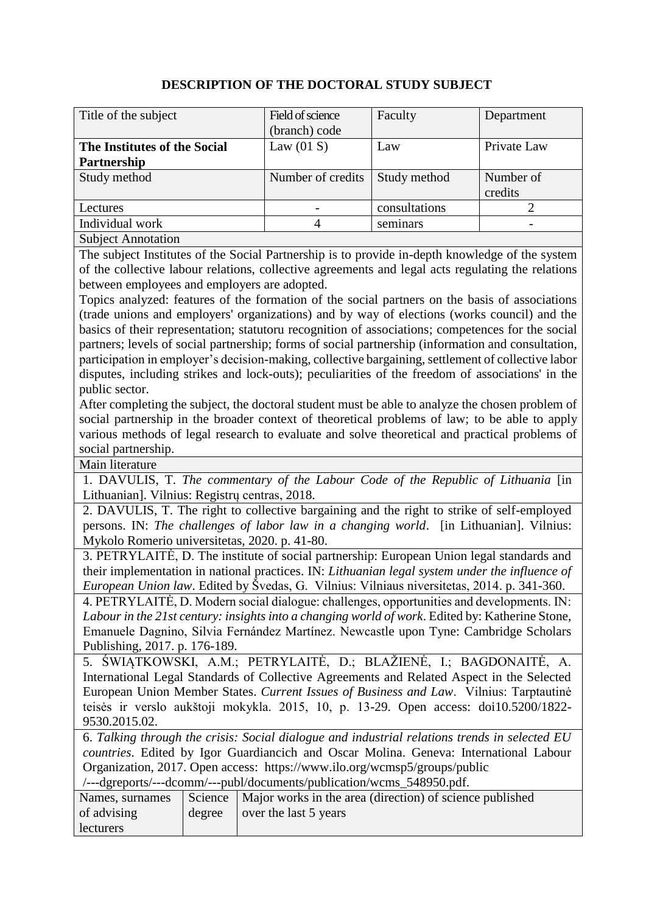## **DESCRIPTION OF THE DOCTORAL STUDY SUBJECT**

| Title of the subject         | Field of science  | Faculty       | Department  |
|------------------------------|-------------------|---------------|-------------|
|                              | (branch) code     |               |             |
| The Institutes of the Social | Law $(01 S)$      | Law           | Private Law |
| Partnership                  |                   |               |             |
| Study method                 | Number of credits | Study method  | Number of   |
|                              |                   |               | credits     |
| Lectures                     |                   | consultations |             |
| Individual work              |                   | seminars      |             |
| <b>Subject Annotation</b>    |                   |               |             |

The subject Institutes of the Social Partnership is to provide in-depth knowledge of the system of the collective labour relations, collective agreements and legal acts regulating the relations between employees and employers are adopted.

Topics analyzed: features of the formation of the social partners on the basis of associations (trade unions and employers' organizations) and by way of elections (works council) and the basics of their representation; statutoru recognition of associations; competences for the social partners; levels of social partnership; forms of social partnership (information and consultation, participation in employer's decision-making, collective bargaining, settlement of collective labor disputes, including strikes and lock-outs); peculiarities of the freedom of associations' in the public sector.

After completing the subject, the doctoral student must be able to analyze the chosen problem of social partnership in the broader context of theoretical problems of law; to be able to apply various methods of legal research to evaluate and solve theoretical and practical problems of social partnership.

Main literature

1. DAVULIS, T. *The commentary of the Labour Code of the Republic of Lithuania* [in Lithuanian]. Vilnius: Registrų centras, 2018.

2. DAVULIS, T. The right to collective bargaining and the right to strike of self-employed persons. IN: *The challenges of labor law in a changing world*. [in Lithuanian]. Vilnius: Mykolo Romerio universitetas, 2020. p. 41-80.

3. PETRYLAITĖ, D. [The institute of social partnership: European Union legal standards and](https://www.lvb.lt/primo-explore/fulldisplay?docid=ELABAPDB5022166&context=L&vid=ELABA&lang=lt_LT&search_scope=LABTALL&adaptor=Local%20Search%20Engine&tab=default_tab&query=any%2Ccontains%2Cdaiva%20petrylait%C4%97&sortby=date&offset=10)  [their implementation in national practices.](https://www.lvb.lt/primo-explore/fulldisplay?docid=ELABAPDB5022166&context=L&vid=ELABA&lang=lt_LT&search_scope=LABTALL&adaptor=Local%20Search%20Engine&tab=default_tab&query=any%2Ccontains%2Cdaiva%20petrylait%C4%97&sortby=date&offset=10) IN: *Lithuanian legal system under the influence of European Union law*. Edited by Švedas, G. Vilnius: Vilniaus niversitetas, 2014. p. 341-360.

4. PETRYLAITĖ, D. Modern social dialogue: challenges, opportunities and developments. IN: *Labour in the 21st century: insights into a changing world of work*. Edited by: Katherine Stone, Emanuele Dagnino, Silvia Fernández Martínez. Newcastle upon Tyne: Cambridge Scholars Publishing, 2017. p. 176-189.

5. ŚWIĄTKOWSKI, A.M.; PETRYLAITĖ, D.; BLAŽIENĖ, I.; BAGDONAITĖ, A. [International Legal Standards of Collective Agreements and Related Aspect in the Selected](https://www.lvb.lt/primo-explore/fulldisplay?docid=ELABAPDB18916415&context=L&vid=ELABA&lang=lt_LT&search_scope=LABTALL&adaptor=Local%20Search%20Engine&tab=default_tab&query=any%2Ccontains%2Cdaiva%20petrylait%C4%97&sortby=date&offset=10)  [European Union Member States.](https://www.lvb.lt/primo-explore/fulldisplay?docid=ELABAPDB18916415&context=L&vid=ELABA&lang=lt_LT&search_scope=LABTALL&adaptor=Local%20Search%20Engine&tab=default_tab&query=any%2Ccontains%2Cdaiva%20petrylait%C4%97&sortby=date&offset=10) *Current Issues of Business and Law*. Vilnius: Tarptautinė teisės ir verslo aukštoji mokykla. 2015, 10, p. 13-29. Open access: doi10.5200/1822- 9530.2015.02.

6. *Talking through the crisis: Social dialogue and industrial relations trends in selected EU countries*. Edited by Igor Guardiancich and Oscar Molina. Geneva: International Labour Organization, 2017. Open access: https://www.ilo.org/wcmsp5/groups/public /---dgreports/---dcomm/---publ/documents/publication/wcms\_548950.pdf.

| Names, surnames  |        | Science   Major works in the area (direction) of science published |
|------------------|--------|--------------------------------------------------------------------|
| of advising      | degree | $\log$ over the last 5 years                                       |
| <b>lecturers</b> |        |                                                                    |